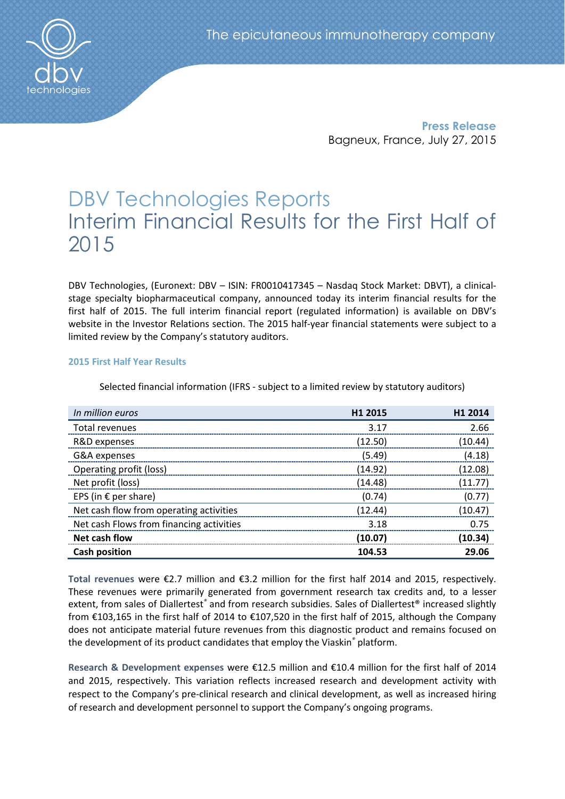

Press Release Bagneux, France, July 27, 2015

# DBV Technologies Reports Interim Financial Results for the First Half of 2015

DBV Technologies, (Euronext: DBV – ISIN: FR0010417345 – Nasdaq Stock Market: DBVT), a clinicalstage specialty biopharmaceutical company, announced today its interim financial results for the first half of 2015. The full interim financial report (regulated information) is available on DBV's website in the Investor Relations section. The 2015 half-year financial statements were subject to a limited review by the Company's statutory auditors.

# 2015 First Half Year Results

| In million euros                         | H <sub>1</sub> 2015 | H <sub>1</sub> 2014 |
|------------------------------------------|---------------------|---------------------|
| Total revenues                           | 3.17                | 2.66                |
| R&D expenses                             | (12.50)             | (10.44)             |
| G&A expenses                             | (5.49)              | (4.18)              |
| Operating profit (loss)                  | (14.92)             | (12.08)             |
| Net profit (loss)                        | (14.48)             | (11.77)             |
| EPS (in € per share)                     | (0.74)              | (0.77)              |
| Net cash flow from operating activities  | (12.44)             | (10.47)             |
| Net cash Flows from financing activities | 3.18                | 0.75                |
| Net cash flow                            | (10.07)             | (10.34)             |
| <b>Cash position</b>                     | 104.53              | 29.06               |

Selected financial information (IFRS - subject to a limited review by statutory auditors)

Total revenues were €2.7 million and €3.2 million for the first half 2014 and 2015, respectively. These revenues were primarily generated from government research tax credits and, to a lesser extent, from sales of Diallertest*®* and from research subsidies. Sales of Diallertest® increased slightly from €103,165 in the first half of 2014 to €107,520 in the first half of 2015, although the Company does not anticipate material future revenues from this diagnostic product and remains focused on the development of its product candidates that employ the Viaskin*®* platform.

Research & Development expenses were €12.5 million and €10.4 million for the first half of 2014 and 2015, respectively. This variation reflects increased research and development activity with respect to the Company's pre-clinical research and clinical development, as well as increased hiring of research and development personnel to support the Company's ongoing programs.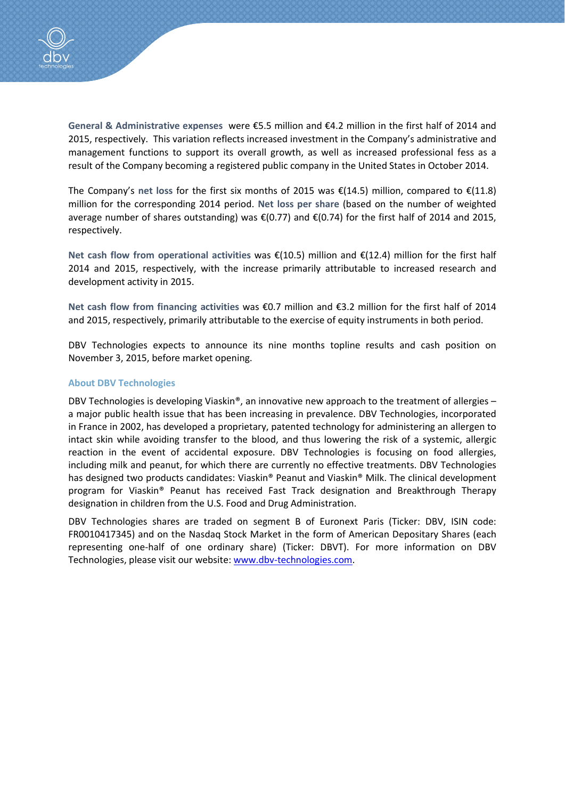

General & Administrative expenses were €5.5 million and €4.2 million in the first half of 2014 and 2015, respectively. This variation reflects increased investment in the Company's administrative and management functions to support its overall growth, as well as increased professional fess as a result of the Company becoming a registered public company in the United States in October 2014.

The Company's net loss for the first six months of 2015 was  $\epsilon$ (14.5) million, compared to  $\epsilon$ (11.8) million for the corresponding 2014 period. Net loss per share (based on the number of weighted average number of shares outstanding) was €(0.77) and €(0.74) for the first half of 2014 and 2015, respectively.

Net cash flow from operational activities was  $\epsilon$ (10.5) million and  $\epsilon$ (12.4) million for the first half 2014 and 2015, respectively, with the increase primarily attributable to increased research and development activity in 2015.

Net cash flow from financing activities was €0.7 million and €3.2 million for the first half of 2014 and 2015, respectively, primarily attributable to the exercise of equity instruments in both period.

DBV Technologies expects to announce its nine months topline results and cash position on November 3, 2015, before market opening.

## About DBV Technologies

DBV Technologies is developing Viaskin®, an innovative new approach to the treatment of allergies – a major public health issue that has been increasing in prevalence. DBV Technologies, incorporated in France in 2002, has developed a proprietary, patented technology for administering an allergen to intact skin while avoiding transfer to the blood, and thus lowering the risk of a systemic, allergic reaction in the event of accidental exposure. DBV Technologies is focusing on food allergies, including milk and peanut, for which there are currently no effective treatments. DBV Technologies has designed two products candidates: Viaskin® Peanut and Viaskin® Milk. The clinical development program for Viaskin® Peanut has received Fast Track designation and Breakthrough Therapy designation in children from the U.S. Food and Drug Administration.

DBV Technologies shares are traded on segment B of Euronext Paris (Ticker: DBV, ISIN code: FR0010417345) and on the Nasdaq Stock Market in the form of American Depositary Shares (each representing one-half of one ordinary share) (Ticker: DBVT). For more information on DBV Technologies, please visit our website: www.dbv-technologies.com.